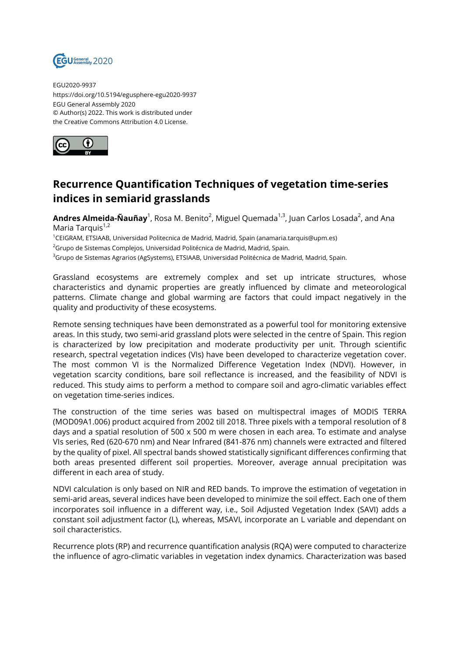

EGU2020-9937 https://doi.org/10.5194/egusphere-egu2020-9937 EGU General Assembly 2020 © Author(s) 2022. This work is distributed under the Creative Commons Attribution 4.0 License.



## **Recurrence Quantification Techniques of vegetation time-series indices in semiarid grasslands**

**Andres Almeida-Ñauñay**<sup>1</sup>, Rosa M. Benito<sup>2</sup>, Miguel Quemada<sup>1,3</sup>, Juan Carlos Losada<sup>2</sup>, and Ana Maria Tarquis<sup>1,2</sup>

<sup>1</sup>CEIGRAM, ETSIAAB, Universidad Politecnica de Madrid, Madrid, Spain (anamaria.tarquis@upm.es)

 $2$ Grupo de Sistemas Complejos, Universidad Politécnica de Madrid, Madrid, Spain.

<sup>3</sup>Grupo de Sistemas Agrarios (AgSystems), ETSIAAB, Universidad Politécnica de Madrid, Madrid, Spain.

Grassland ecosystems are extremely complex and set up intricate structures, whose characteristics and dynamic properties are greatly influenced by climate and meteorological patterns. Climate change and global warming are factors that could impact negatively in the quality and productivity of these ecosystems.

Remote sensing techniques have been demonstrated as a powerful tool for monitoring extensive areas. In this study, two semi-arid grassland plots were selected in the centre of Spain. This region is characterized by low precipitation and moderate productivity per unit. Through scientific research, spectral vegetation indices (VIs) have been developed to characterize vegetation cover. The most common VI is the Normalized Difference Vegetation Index (NDVI). However, in vegetation scarcity conditions, bare soil reflectance is increased, and the feasibility of NDVI is reduced. This study aims to perform a method to compare soil and agro-climatic variables effect on vegetation time-series indices.

The construction of the time series was based on multispectral images of MODIS TERRA (MOD09A1.006) product acquired from 2002 till 2018. Three pixels with a temporal resolution of 8 days and a spatial resolution of 500 x 500 m were chosen in each area. To estimate and analyse VIs series, Red (620-670 nm) and Near Infrared (841-876 nm) channels were extracted and filtered by the quality of pixel. All spectral bands showed statistically significant differences confirming that both areas presented different soil properties. Moreover, average annual precipitation was different in each area of study.

NDVI calculation is only based on NIR and RED bands. To improve the estimation of vegetation in semi-arid areas, several indices have been developed to minimize the soil effect. Each one of them incorporates soil influence in a different way, i.e., Soil Adjusted Vegetation Index (SAVI) adds a constant soil adjustment factor (L), whereas, MSAVI, incorporate an L variable and dependant on soil characteristics.

Recurrence plots (RP) and recurrence quantification analysis (RQA) were computed to characterize the influence of agro-climatic variables in vegetation index dynamics. Characterization was based